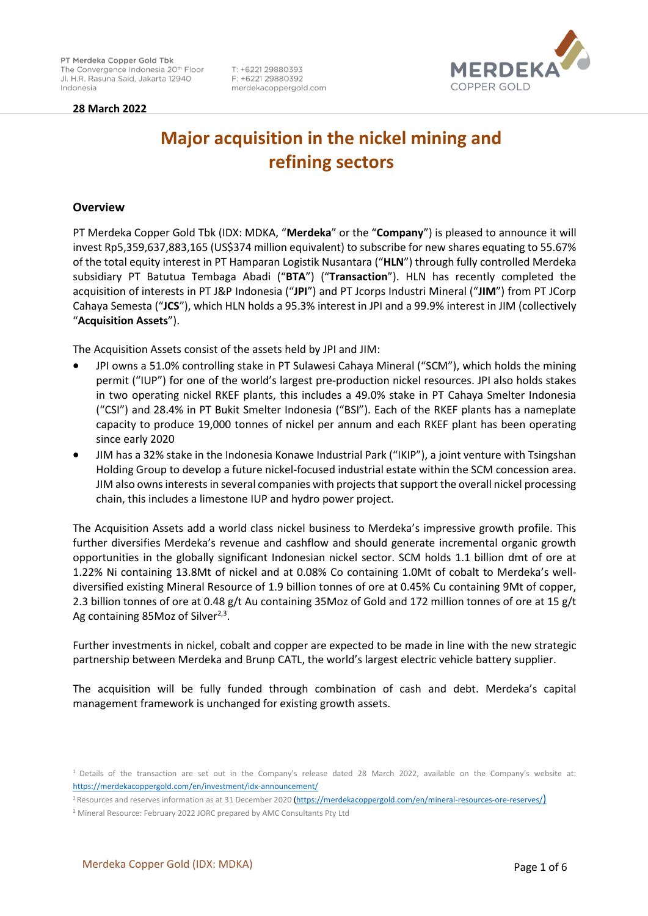**28 March 2022** 



# **Major acquisition in the nickel mining and refining sectors**

T: +6221 29880393

F: +6221 29880392

merdekacoppergold.com

## **Overview**

PT Merdeka Copper Gold Tbk (IDX: MDKA, "**Merdeka**" or the "**Company**") is pleased to announce it will invest Rp5,359,637,883,165 (US\$374 million equivalent) to subscribe for new shares equating to 55.67% of the total equity interest in PT Hamparan Logistik Nusantara ("**HLN**") through fully controlled Merdeka subsidiary PT Batutua Tembaga Abadi ("**BTA**") ("**Transaction**"). HLN has recently completed the acquisition of interests in PT J&P Indonesia ("**JPI**") and PT Jcorps Industri Mineral ("**JIM**") from PT JCorp Cahaya Semesta ("**JCS**"), which HLN holds a 95.3% interest in JPI and a 99.9% interest in JIM (collectively "**Acquisition Assets**").

The Acquisition Assets consist of the assets held by JPI and JIM:

- JPI owns a 51.0% controlling stake in PT Sulawesi Cahaya Mineral ("SCM"), which holds the mining permit ("IUP") for one of the world's largest pre-production nickel resources. JPI also holds stakes in two operating nickel RKEF plants, this includes a 49.0% stake in PT Cahaya Smelter Indonesia ("CSI") and 28.4% in PT Bukit Smelter Indonesia ("BSI"). Each of the RKEF plants has a nameplate capacity to produce 19,000 tonnes of nickel per annum and each RKEF plant has been operating since early 2020
- JIM has a 32% stake in the Indonesia Konawe Industrial Park ("IKIP"), a joint venture with Tsingshan Holding Group to develop a future nickel-focused industrial estate within the SCM concession area. JIM also owns interests in several companies with projects that support the overall nickel processing chain, this includes a limestone IUP and hydro power project.

The Acquisition Assets add a world class nickel business to Merdeka's impressive growth profile. This further diversifies Merdeka's revenue and cashflow and should generate incremental organic growth opportunities in the globally significant Indonesian nickel sector. SCM holds 1.1 billion dmt of ore at 1.22% Ni containing 13.8Mt of nickel and at 0.08% Co containing 1.0Mt of cobalt to Merdeka's welldiversified existing Mineral Resource of 1.9 billion tonnes of ore at 0.45% Cu containing 9Mt of copper, 2.3 billion tonnes of ore at 0.48 g/t Au containing 35Moz of Gold and 172 million tonnes of ore at 15 g/t Ag containing 85Moz of Silver<sup>2,3</sup>.

Further investments in nickel, cobalt and copper are expected to be made in line with the new strategic partnership between Merdeka and Brunp CATL, the world's largest electric vehicle battery supplier.

The acquisition will be fully funded through combination of cash and debt. Merdeka's capital management framework is unchanged for existing growth assets.

<sup>1</sup>Details of the transaction are set out in the Company's release dated 28 March 2022, available on the Company's website at: <https://merdekacoppergold.com/en/investment/idx-announcement/>

<sup>&</sup>lt;sup>2</sup> Resources and reserves information as at 31 December 2020 [\(https://merdekacoppergold.com/en/mineral-resources-ore-reserves/](https://merdekacoppergold.com/en/mineral-resources-ore-reserves/))

<sup>3</sup> Mineral Resource: February 2022 JORC prepared by AMC Consultants Pty Ltd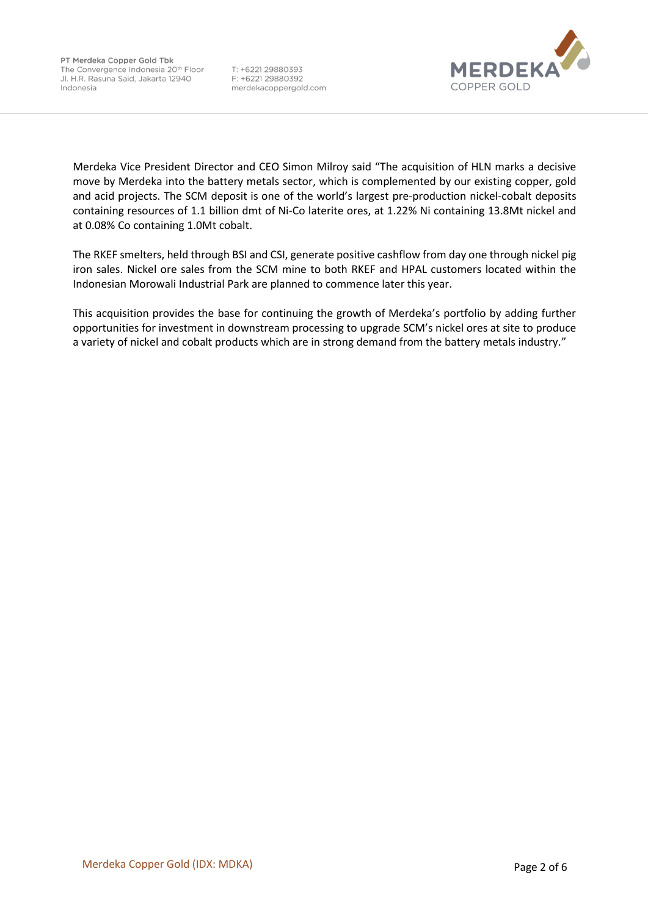

Merdeka Vice President Director and CEO Simon Milroy said "The acquisition of HLN marks a decisive move by Merdeka into the battery metals sector, which is complemented by our existing copper, gold and acid projects. The SCM deposit is one of the world's largest pre-production nickel-cobalt deposits containing resources of 1.1 billion dmt of Ni-Co laterite ores, at 1.22% Ni containing 13.8Mt nickel and at 0.08% Co containing 1.0Mt cobalt.

The RKEF smelters, held through BSI and CSI, generate positive cashflow from day one through nickel pig iron sales. Nickel ore sales from the SCM mine to both RKEF and HPAL customers located within the Indonesian Morowali Industrial Park are planned to commence later this year.

This acquisition provides the base for continuing the growth of Merdeka's portfolio by adding further opportunities for investment in downstream processing to upgrade SCM's nickel ores at site to produce a variety of nickel and cobalt products which are in strong demand from the battery metals industry."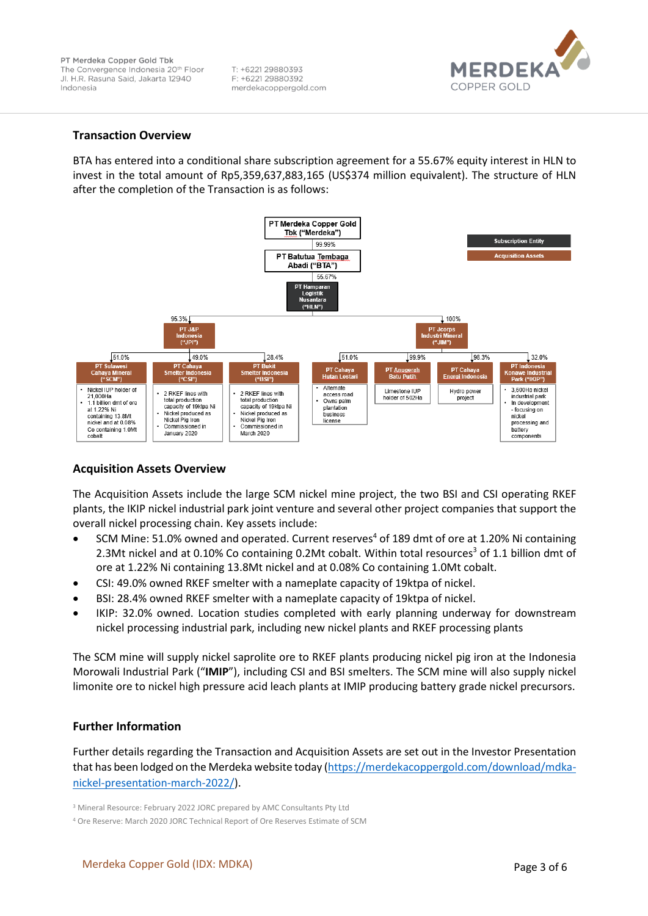

#### **Transaction Overview**

BTA has entered into a conditional share subscription agreement for a 55.67% equity interest in HLN to invest in the total amount of Rp5,359,637,883,165 (US\$374 million equivalent). The structure of HLN after the completion of the Transaction is as follows:



## **Acquisition Assets Overview**

The Acquisition Assets include the large SCM nickel mine project, the two BSI and CSI operating RKEF plants, the IKIP nickel industrial park joint venture and several other project companies that support the overall nickel processing chain. Key assets include:

- SCM Mine: 51.0% owned and operated. Current reserves<sup>4</sup> of 189 dmt of ore at 1.20% Ni containing 2.3Mt nickel and at 0.10% Co containing 0.2Mt cobalt. Within total resources<sup>3</sup> of 1.1 billion dmt of ore at 1.22% Ni containing 13.8Mt nickel and at 0.08% Co containing 1.0Mt cobalt.
- CSI: 49.0% owned RKEF smelter with a nameplate capacity of 19ktpa of nickel.
- BSI: 28.4% owned RKEF smelter with a nameplate capacity of 19ktpa of nickel.
- IKIP: 32.0% owned. Location studies completed with early planning underway for downstream nickel processing industrial park, including new nickel plants and RKEF processing plants

The SCM mine will supply nickel saprolite ore to RKEF plants producing nickel pig iron at the Indonesia Morowali Industrial Park ("**IMIP**"), including CSI and BSI smelters. The SCM mine will also supply nickel limonite ore to nickel high pressure acid leach plants at IMIP producing battery grade nickel precursors.

## **Further Information**

Further details regarding the Transaction and Acquisition Assets are set out in the Investor Presentation that has been lodged on the Merdeka website today [\(https://merdekacoppergold.com/download/mdka](https://merdekacoppergold.com/download/mdka-nickel-presentation-march-2022/)[nickel-presentation-march-2022/\)](https://merdekacoppergold.com/download/mdka-nickel-presentation-march-2022/).

<sup>3</sup> Mineral Resource: February 2022 JORC prepared by AMC Consultants Pty Ltd

<sup>4</sup> Ore Reserve: March 2020 JORC Technical Report of Ore Reserves Estimate of SCM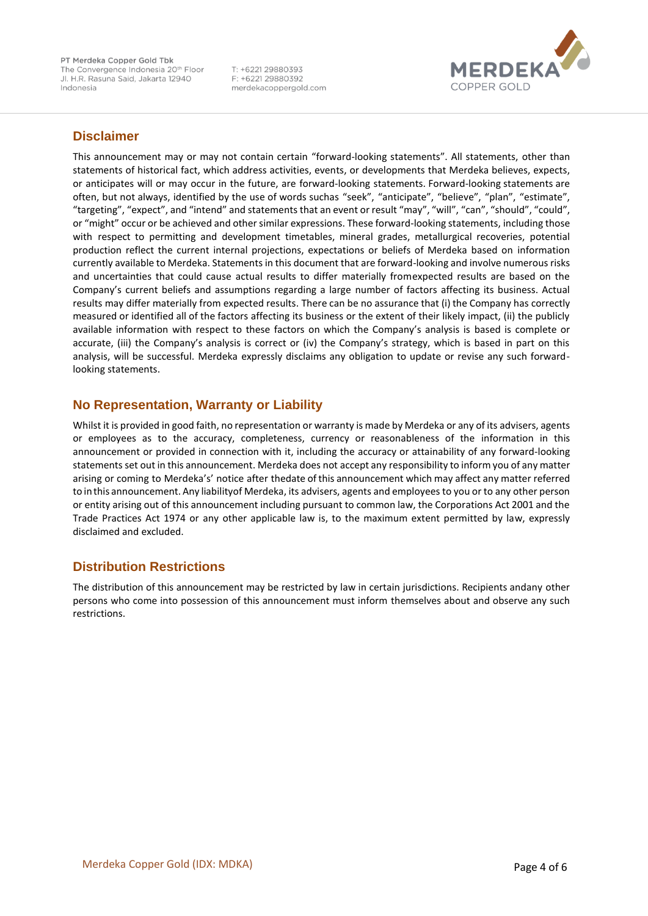PT Merdeka Copper Gold Tbk The Convergence Indonesia 20<sup>th</sup> Floor Jl. H.R. Rasuna Said, Jakarta 12940 Indonesia

T: +6221 29880393 F: +6221 29880392 merdekacoppergold.com



# **Disclaimer**

This announcement may or may not contain certain "forward-looking statements". All statements, other than statements of historical fact, which address activities, events, or developments that Merdeka believes, expects, or anticipates will or may occur in the future, are forward-looking statements. Forward-looking statements are often, but not always, identified by the use of words suchas "seek", "anticipate", "believe", "plan", "estimate", "targeting", "expect", and "intend" and statements that an event or result "may", "will", "can", "should", "could", or "might" occur or be achieved and other similar expressions. These forward-looking statements, including those with respect to permitting and development timetables, mineral grades, metallurgical recoveries, potential production reflect the current internal projections, expectations or beliefs of Merdeka based on information currently available to Merdeka. Statements in this document that are forward-looking and involve numerous risks and uncertainties that could cause actual results to differ materially fromexpected results are based on the Company's current beliefs and assumptions regarding a large number of factors affecting its business. Actual results may differ materially from expected results. There can be no assurance that (i) the Company has correctly measured or identified all of the factors affecting its business or the extent of their likely impact, (ii) the publicly available information with respect to these factors on which the Company's analysis is based is complete or accurate, (iii) the Company's analysis is correct or (iv) the Company's strategy, which is based in part on this analysis, will be successful. Merdeka expressly disclaims any obligation to update or revise any such forwardlooking statements.

# **No Representation, Warranty or Liability**

Whilst it is provided in good faith, no representation or warranty is made by Merdeka or any of its advisers, agents or employees as to the accuracy, completeness, currency or reasonableness of the information in this announcement or provided in connection with it, including the accuracy or attainability of any forward-looking statements set out in this announcement. Merdeka does not accept any responsibility to inform you of any matter arising or coming to Merdeka's' notice after thedate of this announcement which may affect any matter referred to inthis announcement. Any liabilityof Merdeka, its advisers, agents and employees to you or to any other person or entity arising out of this announcement including pursuant to common law, the Corporations Act 2001 and the Trade Practices Act 1974 or any other applicable law is, to the maximum extent permitted by law, expressly disclaimed and excluded.

# **Distribution Restrictions**

The distribution of this announcement may be restricted by law in certain jurisdictions. Recipients andany other persons who come into possession of this announcement must inform themselves about and observe any such restrictions.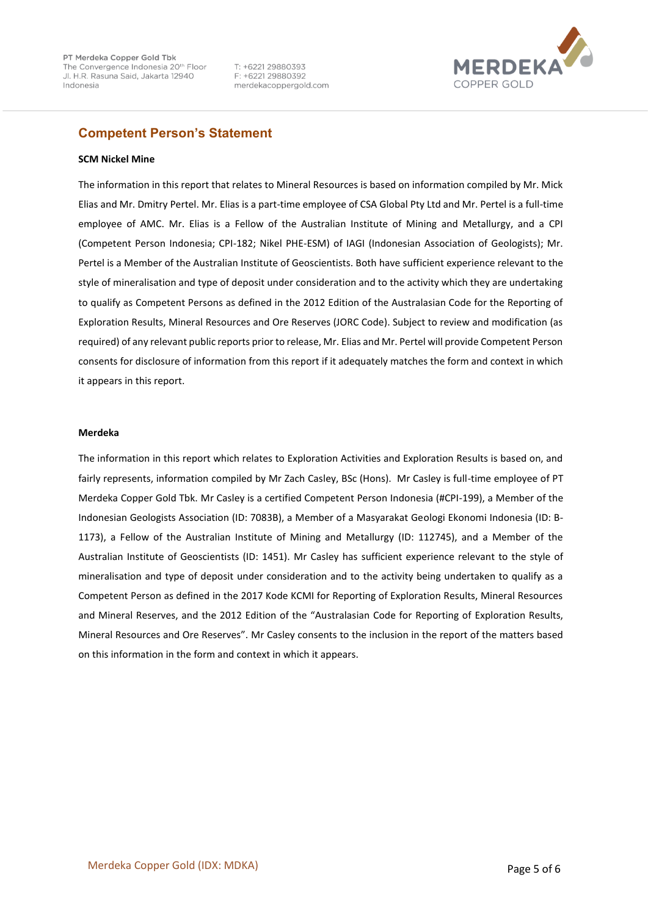

# **Competent Person's Statement**

#### **SCM Nickel Mine**

The information in this report that relates to Mineral Resources is based on information compiled by Mr. Mick Elias and Mr. Dmitry Pertel. Mr. Elias is a part-time employee of CSA Global Pty Ltd and Mr. Pertel is a full-time employee of AMC. Mr. Elias is a Fellow of the Australian Institute of Mining and Metallurgy, and a CPI (Competent Person Indonesia; CPI-182; Nikel PHE-ESM) of IAGI (Indonesian Association of Geologists); Mr. Pertel is a Member of the Australian Institute of Geoscientists. Both have sufficient experience relevant to the style of mineralisation and type of deposit under consideration and to the activity which they are undertaking to qualify as Competent Persons as defined in the 2012 Edition of the Australasian Code for the Reporting of Exploration Results, Mineral Resources and Ore Reserves (JORC Code). Subject to review and modification (as required) of any relevant public reports prior to release, Mr. Elias and Mr. Pertel will provide Competent Person consents for disclosure of information from this report if it adequately matches the form and context in which it appears in this report.

#### **Merdeka**

The information in this report which relates to Exploration Activities and Exploration Results is based on, and fairly represents, information compiled by Mr Zach Casley, BSc (Hons). Mr Casley is full-time employee of PT Merdeka Copper Gold Tbk. Mr Casley is a certified Competent Person Indonesia (#CPI-199), a Member of the Indonesian Geologists Association (ID: 7083B), a Member of a Masyarakat Geologi Ekonomi Indonesia (ID: B-1173), a Fellow of the Australian Institute of Mining and Metallurgy (ID: 112745), and a Member of the Australian Institute of Geoscientists (ID: 1451). Mr Casley has sufficient experience relevant to the style of mineralisation and type of deposit under consideration and to the activity being undertaken to qualify as a Competent Person as defined in the 2017 Kode KCMI for Reporting of Exploration Results, Mineral Resources and Mineral Reserves, and the 2012 Edition of the "Australasian Code for Reporting of Exploration Results, Mineral Resources and Ore Reserves". Mr Casley consents to the inclusion in the report of the matters based on this information in the form and context in which it appears.